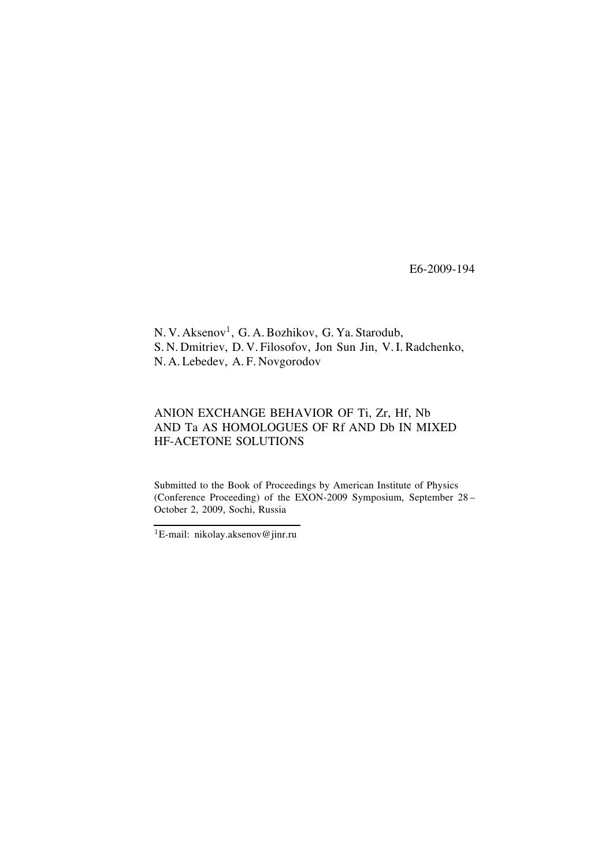E6-2009-194

N. V. Aksenov<sup>1</sup>, G. A. Bozhikov, G. Ya. Starodub, S. N. Dmitriev, D. V. Filosofov, Jon Sun Jin, V. I. Radchenko, N. A. Lebedev, A. F. Novgorodov

# ANION EXCHANGE BEHAVIOR OF Ti, Zr, Hf, Nb AND Ta AS HOMOLOGUES OF Rf AND Db IN MIXED HF-ACETONE SOLUTIONS

Submitted to the Book of Proceedings by American Institute of Physics (Conference Proceeding) of the EXON-2009 Symposium, September  $28 -$ October 2, 2009, Sochi, Russia

<sup>1</sup>E-mail: nikolay.aksenov@jinr.ru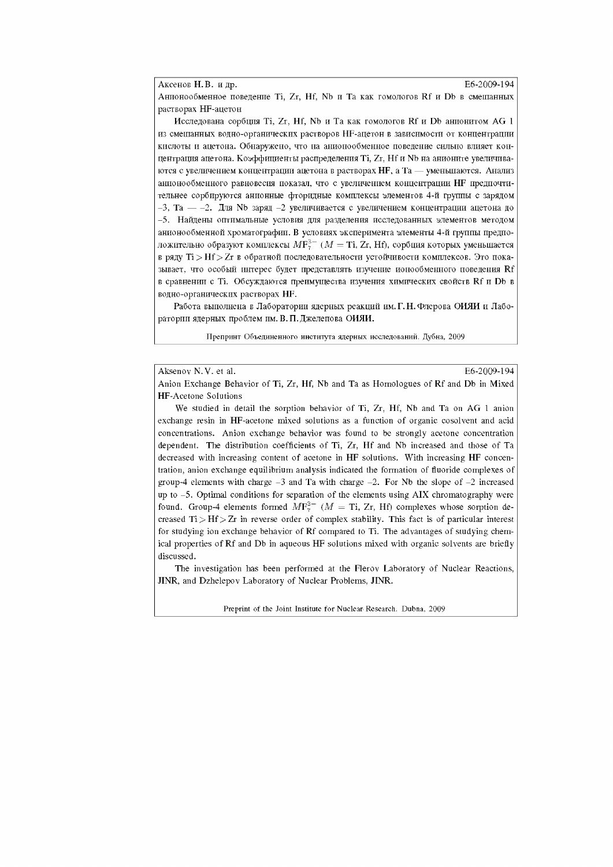Аксено Н.В. и др. Е6-2009-194

Анионообменное поведение Ti, Zr, Hf, Nb и Та как гомологов Rf и Db в смешанных растворах HF-ацетон

Исследована сорбция Ti, Zr, Hf, Nb и Та как гомологов Rf и Db анионитом AG 1 из смешанных водно-органических растворов HF-ацетон в зависимости от концентрации кислоты и ацетона. Обнаружено, что на анионообменное поведение сильно влияет концентрация ацетона. Коэффициенты распределения Ti, Zr, Hf и Nb на анионите увеличиваются с увеличением концентрации ацетона в растворах НF, а Та — уменьшаются. Анализ анионообменного равновесия показал, что с увеличением концентрации НF предпочтительнее сорбируются анионные фторидные комплексы элементов 4-й группы с зарядом  $-3$ , Та  $-2$ . Для Nb заряд -2 увеличивается с увеличением концентрации ацетона до -5. Найдены оптимальные условия для разделения исследованных элементов методом анионообменной хроматографии. В условиях эксперимента элементы 4-й группы предположительно образуют комплексы  $M\mathbf{F}_{7}^{3-}$  ( $M = \text{Ti}, Zr, Hf$ ), сорбция которых уменьшается в ряду Ti > Hf > Zr в обратной последовательности устойчивости комплексов. Это показывает, что особый интерес будет представлять изучение ионообменного поведения Rf в сравнении с Ti. Обсуждаются преимущества изучения химических свойств Rf и Db в водно-органических растворах HF.

Работа выполнена в Лаборатории ядерных реакций им. Г. Н. Флерова ОИЯИ и Лаборатории ядерных проблем им. В. П. Джелепова ОИЯИ.

Препринт Объединенного института ядерных исследований. Дубна, 2009

Aksenov N.V. et al. E6-2009-194

Anion Exchange Behavior of Ti, Zr, Hf, Nb and Ta as Homologues of Rf and Db in Mixed HF-Acetone Solutions

We studied in detail the sorption behavior of Ti, Zr, Hf, Nb and Ta on AG 1 anion exchange resin in HF-acetone mixed solutions as a function of organic cosolvent and acid concentrations. Anion exchange behavior was found to be strongly acetone concentration dependent. The distribution coefficients of Ti, Zr, Hf and Nb increased and those of Та decreased with increasing content of acetone in HF solutions. With increasing HF concentration, anion exchange equilibrium analysis indicated the formation of fluoride complexes of group-4 elements with charge  $-3$  and Ta with charge  $-2$ . For Nb the slope of  $-2$  increased up to -5. Optimal conditions for separation of the elements using AIX chromatography were found. Group-4 elements formed  $M F_{7}^{3-}$  ( $M = Ti$ , Zr, Hf) complexes whose sorption decreased  $Ti > Hf > Zr$  in reverse order of complex stability. This fact is of particular interest for studying ion exchange behavior of Rf compared to Ti. The advantages of studying chemical properties of Rf and Db in aqueous HF solutions mixed with organic solvents are briefly discussed.

The investigation has been performed at the Flerov Laboratory of Nuclear Reactions, JINR, and Dzhelepov Laboratory of Nuclear Problems, JINR.

Preprint of the Joint Institute for Nuclear Research. Dubna, 2009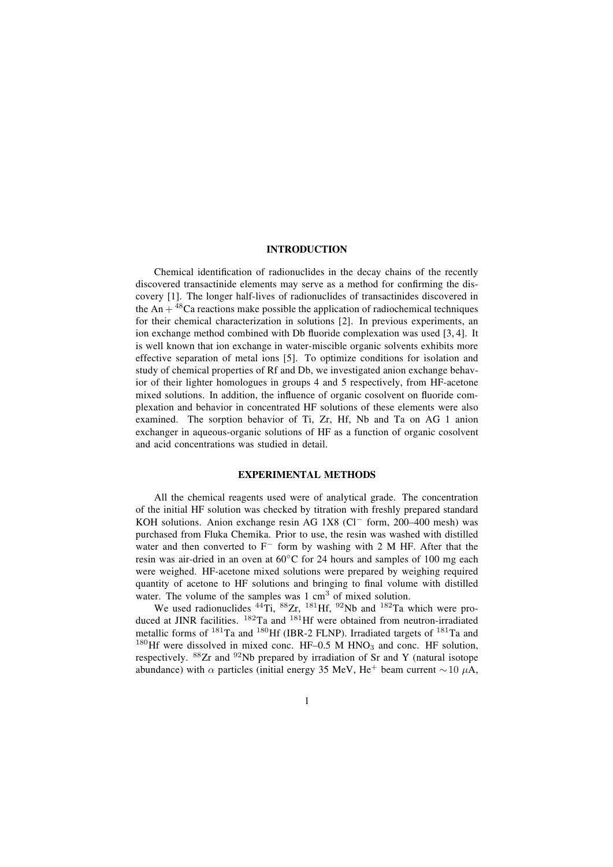### **INTRODUCTION**

Chemical identification of radionuclides in the decay chains of the recently discovered transactinide elements may serve as a method for confirming the discovery [1]. The longer half-lives of radionuclides of transactinides discovered in the An  $+$ <sup>48</sup>Ca reactions make possible the application of radiochemical techniques for their chemical characterization in solutions [2]. In previous experiments, an ion exchange method combined with Db fluoride complexation was used  $[3, 4]$ . It is well known that ion exchange in water-miscible organic solvents exhibits more effective separation of metal ions [5]. To optimize conditions for isolation and study of chemical properties of Rf and Db, we investigated anion exchange behavior of their lighter homologues in groups 4 and 5 respectively, from HF-acetone mixed solutions. In addition, the influence of organic cosolvent on fluoride complexation and behavior in concentrated HF solutions of these elements were also examined. The sorption behavior of Ti, Zr, Hf, Nb and Ta on AG 1 anion exchanger in aqueous-organic solutions of HF as a function of organic cosolvent and acid concentrations was studied in detail.

#### **EXPERIMENTAL METHODS**

All the chemical reagents used were of analytical grade. The concentration of the initial HF solution was checked by titration with freshly prepared standard KOH solutions. Anion exchange resin AG 1X8 (Cl<sup>−</sup> form, 200–400 mesh) was purchased from Fluka Chemika. Prior to use, the resin was washed with distilled water and then converted to F<sup>−</sup> form by washing with 2 M HF. After that the resin was air-dried in an oven at 60◦C for 24 hours and samples of 100 mg each were weighed. HF-acetone mixed solutions were prepared by weighing required quantity of acetone to HF solutions and bringing to final volume with distilled water. The volume of the samples was  $1 \text{ cm}^3$  of mixed solution.

We used radionuclides  $^{44}$ Ti,  $^{88}Zr$ ,  $^{181}$ Hf,  $^{92}$ Nb and  $^{182}$ Ta which were produced at JINR facilities. <sup>182</sup>Ta and <sup>181</sup>Hf were obtained from neutron-irradiated metallic forms of  $^{181}$ Ta and  $^{180}$ Hf (IBR-2 FLNP). Irradiated targets of  $^{181}$ Ta and  $180$ Hf were dissolved in mixed conc. HF-0.5 M HNO<sub>3</sub> and conc. HF solution, respectively.  $88Zr$  and  $92Nb$  prepared by irradiation of Sr and Y (natural isotope abundance) with  $\alpha$  particles (initial energy 35 MeV, He<sup>+</sup> beam current  $\sim$  10  $\mu$ A,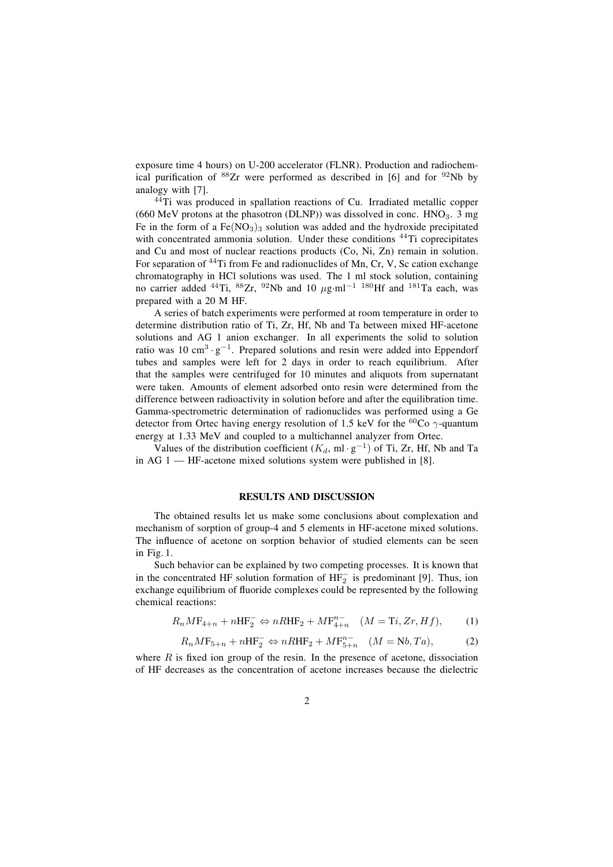exposure time 4 hours) on U-200 accelerator (FLNR). Production and radiochemical purification of  ${}^{88}Zr$  were performed as described in [6] and for  ${}^{92}Nb$  by analogy with [7].

 $44$ Ti was produced in spallation reactions of Cu. Irradiated metallic copper (660 MeV protons at the phasotron (DLNP)) was dissolved in conc.  $HNO<sub>3</sub>$ . 3 mg Fe in the form of a  $Fe(NO<sub>3</sub>)<sub>3</sub>$  solution was added and the hydroxide precipitated with concentrated ammonia solution. Under these conditions <sup>44</sup>Ti coprecipitates and Cu and most of nuclear reactions products (Co, Ni, Zn) remain in solution. For separation of <sup>44</sup>Ti from Fe and radionuclides of Mn, Cr, V, Sc cation exchange chromatography in HCl solutions was used. The 1 ml stock solution, containing no carrier added <sup>44</sup>Ti, <sup>88</sup>Zr, <sup>92</sup>Nb and 10 µg·ml<sup>-1 180</sup>Hf and <sup>181</sup>Ta each, was prepared with a 20 M HF.

A series of batch experiments were performed at room temperature in order to determine distribution ratio of Ti, Zr, Hf, Nb and Ta between mixed HF-acetone solutions and AG 1 anion exchanger. In all experiments the solid to solution ratio was 10 cm<sup>3</sup> · g<sup>-1</sup>. Prepared solutions and resin were added into Eppendorf tubes and samples were left for 2 days in order to reach equilibrium. After that the samples were centrifuged for 10 minutes and aliquots from supernatant were taken. Amounts of element adsorbed onto resin were determined from the difference between radioactivity in solution before and after the equilibration time. Gamma-spectrometric determination of radionuclides was performed using a Ge detector from Ortec having energy resolution of 1.5 keV for the <sup>60</sup>Co  $\gamma$ -quantum energy at 1.33 MeV and coupled to a multichannel analyzer from Ortec.

Values of the distribution coefficient ( $K_d$ , ml · g<sup>-1</sup>) of Ti, Zr, Hf, Nb and Ta in AG  $1$  — HF-acetone mixed solutions system were published in [8].

#### **RESULTS AND DISCUSSION**

The obtained results let us make some conclusions about complexation and mechanism of sorption of group-4 and 5 elements in HF-acetone mixed solutions. The influence of acetone on sorption behavior of studied elements can be seen in Fig. 1.

Such behavior can be explained by two competing processes. It is known that in the concentrated HF solution formation of  $HF_2^-$  is predominant [9]. Thus, ion exchange equilibrium of fluoride complexes could be represented by the following chemical reactions:

$$
R_n M F_{4+n} + n H F_2^- \Leftrightarrow n R H F_2 + M F_{4+n}^{n-} \quad (M = Ti, Zr, Hf), \tag{1}
$$

$$
R_n M F_{5+n} + n H F_2^- \Leftrightarrow n R H F_2 + M F_{5+n}^{n-} \quad (M = Nb, Ta), \tag{2}
$$

where  $R$  is fixed ion group of the resin. In the presence of acetone, dissociation of HF decreases as the concentration of acetone increases because the dielectric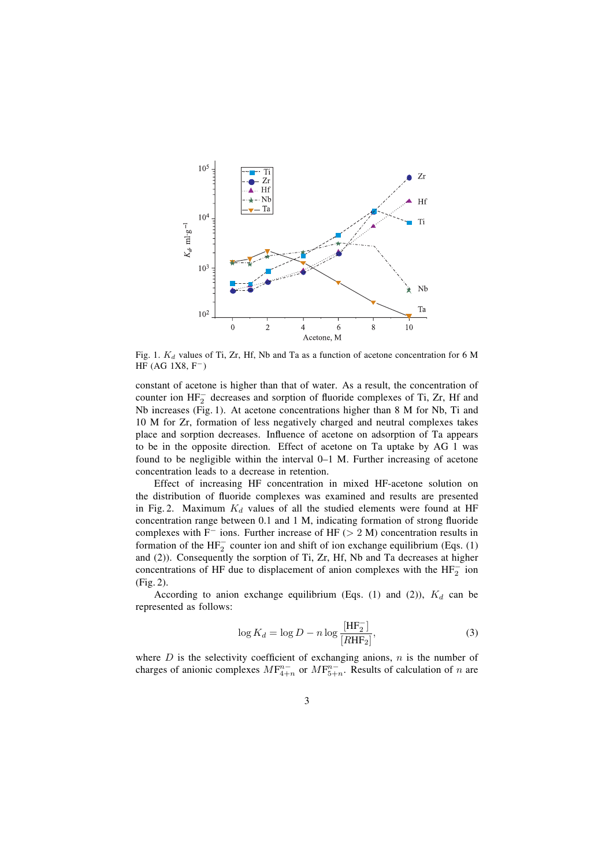

Fig. 1.  $K_d$  values of Ti, Zr, Hf, Nb and Ta as a function of acetone concentration for 6 M HF (AG  $1X8, F^-$ )

constant of acetone is higher than that of water. As a result, the concentration of counter ion  $HF_2^-$  decreases and sorption of fluoride complexes of Ti, Zr, Hf and Nb increases (Fig. 1). At acetone concentrations higher than 8 M for Nb, Ti and 10 M for Zr, formation of less negatively charged and neutral complexes takes place and sorption decreases. Influence of acetone on adsorption of Ta appears to be in the opposite direction. Effect of acetone on Ta uptake by AG 1 was found to be negligible within the interval  $0-1$  M. Further increasing of acetone concentration leads to a decrease in retention.

Effect of increasing HF concentration in mixed HF-acetone solution on the distribution of fluoride complexes was examined and results are presented in Fig. 2. Maximum  $K_d$  values of all the studied elements were found at HF concentration range between  $0.1$  and  $1$  M, indicating formation of strong fluoride complexes with F<sup>−</sup> ions. Further increase of HF (> 2 M) concentration results in formation of the  $HF_2^-$  counter ion and shift of ion exchange equilibrium (Eqs. (1) and (2)). Consequently the sorption of Ti, Zr, Hf, Nb and Ta decreases at higher concentrations of HF due to displacement of anion complexes with the  $HF_2^-$  ion (Fig. 2).

According to anion exchange equilibrium (Eqs. (1) and (2)),  $K_d$  can be represented as follows:

$$
\log K_d = \log D - n \log \frac{\text{[HF}_2^-]}{\text{[RHF}_2]},\tag{3}
$$

where  $D$  is the selectivity coefficient of exchanging anions,  $n$  is the number of charges of anionic complexes  $MF_{4+n}^{n-}$  or  $MF_{5+n}^{n-}$ . Results of calculation of n are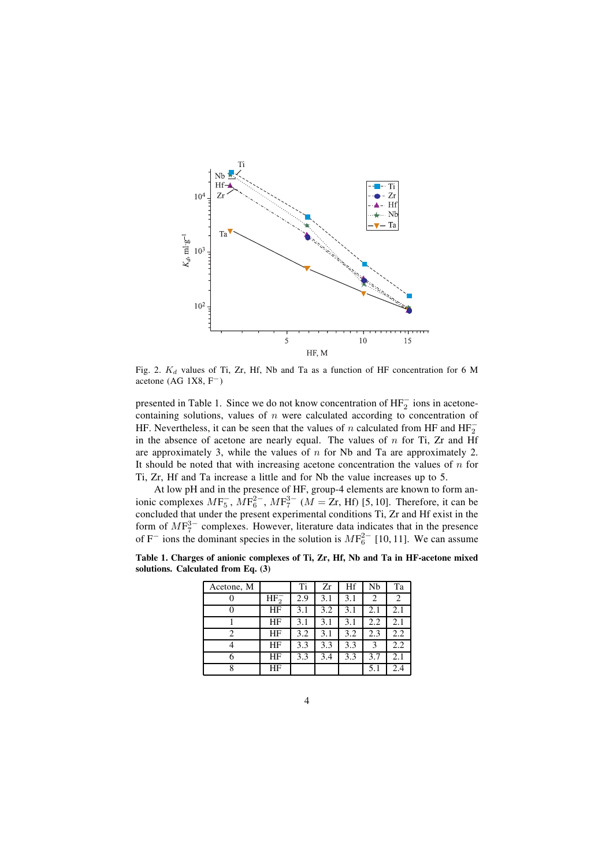

Fig. 2.  $K_d$  values of Ti, Zr, Hf, Nb and Ta as a function of HF concentration for 6 M acetone (AG 1X8, F−)

presented in Table 1. Since we do not know concentration of  $HF_2^-$  ions in acetonecontaining solutions, values of  $n$  were calculated according to concentration of HF. Nevertheless, it can be seen that the values of *n* calculated from HF and  $HF_2^$ in the absence of acetone are nearly equal. The values of  $n$  for Ti, Zr and Hf are approximately 3, while the values of  $n$  for Nb and Ta are approximately 2. It should be noted that with increasing acetone concentration the values of  $n$  for Ti, Zr, Hf and Ta increase a little and for Nb the value increases up to 5.

At low pH and in the presence of HF, group-4 elements are known to form anionic complexes  $MF_5^-, MF_6^{2-}, MF_7^{3-}$  ( $M = Zr$ , Hf) [5, 10]. Therefore, it can be concluded that under the present experimental conditions Ti, Zr and Hf exist in the form of  $MF_7^{3-}$  complexes. However, literature data indicates that in the presence of F<sup>-</sup> ions the dominant species in the solution is  $MF_6^{2-}$  [10, 11]. We can assume

**Table 1. Charges of anionic complexes of Ti, Zr, Hf, Nb and Ta in HF-acetone mixed solutions. Calculated from Eq. (3)**

| Acetone, M |          | Ti  | Zr  | Hf  | Nb  | Ta  |
|------------|----------|-----|-----|-----|-----|-----|
|            | $HF_2^-$ | 2.9 | 3.1 | 3.1 | 2   | 2   |
| 0          | ΗF       | 3.1 | 3.2 | 3.1 | 2.1 | 2.1 |
|            | ΗF       | 3.1 | 3.1 | 3.1 | 2.2 | 2.1 |
| 2          | ΗF       | 3.2 | 3.1 | 3.2 | 2.3 | 2.2 |
|            | ΗF       | 3.3 | 3.3 | 3.3 | 3   | 2.2 |
| 6          | ΗF       | 3.3 | 3.4 | 3.3 | 3.7 | 2.1 |
| 8          | ΗF       |     |     |     | 5.1 | 2.4 |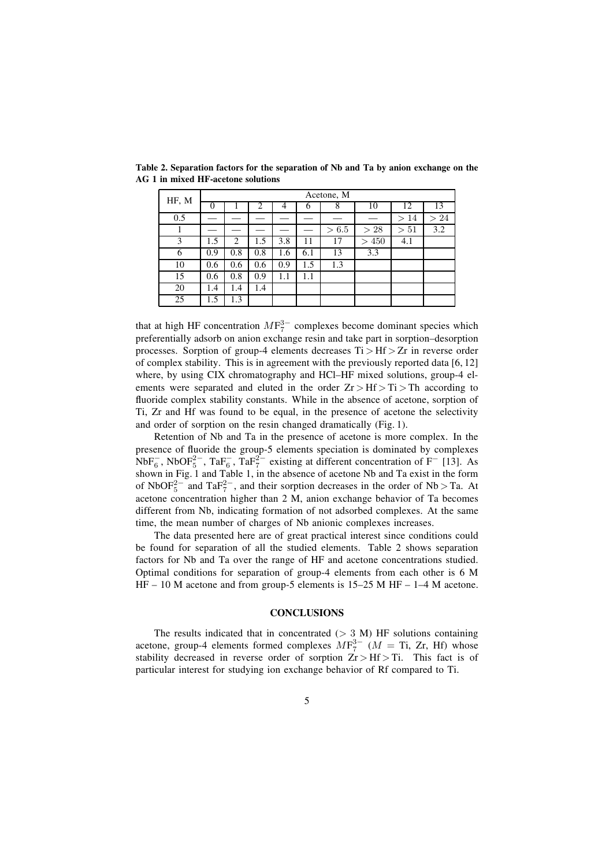| HF, M | Acetone, M |     |     |     |     |       |                 |                |             |  |
|-------|------------|-----|-----|-----|-----|-------|-----------------|----------------|-------------|--|
|       | 0          |     | 2   | 4   | 6   | 8     | 10              | 12             | 13          |  |
| 0.5   |            |     |     |     |     |       |                 | 14<br>$\rm{>}$ | 24<br>$\gt$ |  |
|       |            |     |     |     |     | > 6.5 | >28             | 51<br>$\geq$   | 3.2         |  |
| 3     | 1.5        | 2   | 1.5 | 3.8 | 11  | 17    | 450<br>$\rm{>}$ | 4.1            |             |  |
| 6     | 0.9        | 0.8 | 0.8 | 1.6 | 6.1 | 13    | 3.3             |                |             |  |
| 10    | 0.6        | 0.6 | 0.6 | 0.9 | 1.5 | 1.3   |                 |                |             |  |
| 15    | 0.6        | 0.8 | 0.9 | 1.1 | 1.1 |       |                 |                |             |  |
| 20    | 1.4        | 1.4 | 1.4 |     |     |       |                 |                |             |  |
| 25    | 1.5        | 1.3 |     |     |     |       |                 |                |             |  |

**Table 2. Separation factors for the separation of Nb and Ta by anion exchange on the AG 1 in mixed HF-acetone solutions**

that at high HF concentration  $MF_7^{3-}$  complexes become dominant species which preferentially adsorb on anion exchange resin and take part in sorption–desorption processes. Sorption of group-4 elements decreases  $Ti > Hf > Zr$  in reverse order of complex stability. This is in agreement with the previously reported data [6, 12] where, by using CIX chromatography and  $HCl$ – $HF$  mixed solutions, group-4 elements were separated and eluted in the order  $Zr > Hf > Ti > Th$  according to fluoride complex stability constants. While in the absence of acetone, sorption of Ti, Zr and Hf was found to be equal, in the presence of acetone the selectivity and order of sorption on the resin changed dramatically (Fig. 1).

Retention of Nb and Ta in the presence of acetone is more complex. In the presence of fluoride the group-5 elements speciation is dominated by complexes NbF<sup> $-$ </sup><sub>6</sub>, NbOF<sup>2 $-$ </sup>, TaF<sup> $-$ </sup><sub>6</sub>, TaF<sup>2 $-$ </sup> existing at different concentration of F<sup>-</sup> [13]. As shown in Fig. 1 and Table 1, in the absence of acetone Nb and Ta exist in the form of NbOF<sup>2 $-$ </sup> and TaF<sup>2 $-$ </sup>, and their sorption decreases in the order of Nb > Ta. At acetone concentration higher than 2 M, anion exchange behavior of Ta becomes different from Nb, indicating formation of not adsorbed complexes. At the same time, the mean number of charges of Nb anionic complexes increases.

The data presented here are of great practical interest since conditions could be found for separation of all the studied elements. Table 2 shows separation factors for Nb and Ta over the range of HF and acetone concentrations studied. Optimal conditions for separation of group-4 elements from each other is 6 M HF  $-10$  M acetone and from group-5 elements is 15–25 M HF  $-1-4$  M acetone.

## **CONCLUSIONS**

The results indicated that in concentrated  $(> 3 \text{ M})$  HF solutions containing acetone, group-4 elements formed complexes  $MF_7^{3-}$  ( $M =$  Ti, Zr, Hf) whose stability decreased in reverse order of sorption  $Zr > Hf > T$ . This fact is of particular interest for studying ion exchange behavior of Rf compared to Ti.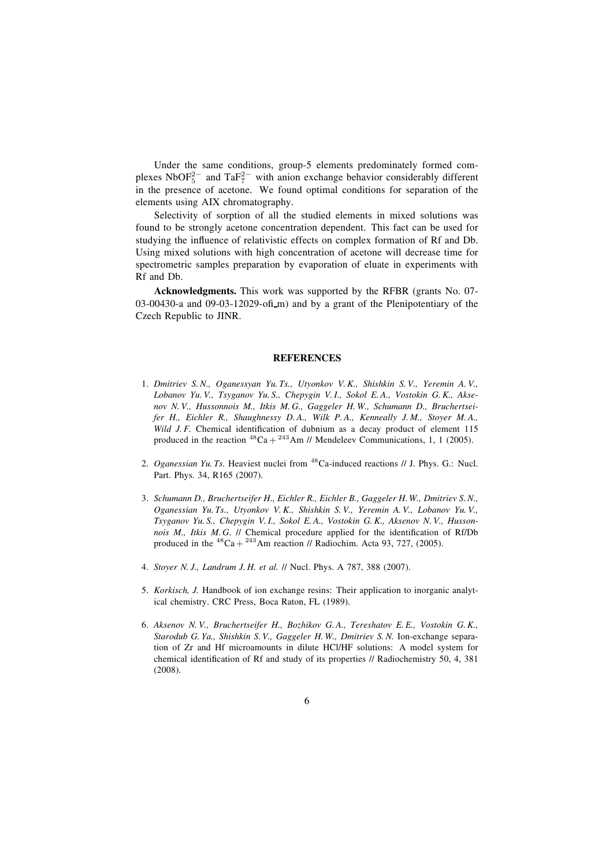Under the same conditions, group-5 elements predominately formed complexes NbOF<sup>2-</sup> and TaF<sup>2-</sup> with anion exchange behavior considerably different in the presence of acetone. We found optimal conditions for separation of the elements using AIX chromatography.

Selectivity of sorption of all the studied elements in mixed solutions was found to be strongly acetone concentration dependent. This fact can be used for studying the influence of relativistic effects on complex formation of Rf and Db. Using mixed solutions with high concentration of acetone will decrease time for spectrometric samples preparation by evaporation of eluate in experiments with Rf and Db.

**Acknowledgments.** This work was supported by the RFBR (grants No. 07- 03-00430-a and 09-03-12029-of  $\mu$  and by a grant of the Plenipotentiary of the Czech Republic to JINR.

#### **REFERENCES**

- 1. *Dmitriev S. N., Oganessyan Yu. Ts., Utyonkov V. K., Shishkin S. V., Yeremin A. V., Lobanov Yu. V., Tsyganov Yu. S., Chepygin V. I., Sokol E. A., Vostokin G. K., Aksenov N. V., Hussonnois M., Itkis M. G., Gaggeler H. W., Schumann D., Bruchertseifer H., Eichler R., Shaughnessy D. A., Wilk P. A., Kenneally J. M., Stoyer M. A., Wild J. F.* Chemical identification of dubnium as a decay product of element 115 produced in the reaction  ${}^{48}Ca + {}^{243}Am$  // Mendeleev Communications, 1, 1 (2005).
- 2. *Oganessian Yu. Ts.* Heaviest nuclei from <sup>48</sup>Ca-induced reactions // J. Phys. G.: Nucl. Part. Phys. 34, R165 (2007).
- 3. *Schumann D., Bruchertseifer H., Eichler R., Eichler B., Gaggeler H. W., Dmitriev S. N., Oganessian Yu. Ts., Utyonkov V. K., Shishkin S. V., Yeremin A. V., Lobanov Yu. V., Tsyganov Yu. S., Chepygin V. I., Sokol E. A., Vostokin G. K., Aksenov N. V., Hussonnois M., Itkis M.G. // Chemical procedure applied for the identification of Rf/Db* produced in the  ${}^{48}Ca + {}^{243}Am$  reaction // Radiochim. Acta 93, 727, (2005).
- 4. *Stoyer N. J., Landrum J. H. et al.* // Nucl. Phys. A 787, 388 (2007).
- 5. *Korkisch, J.* Handbook of ion exchange resins: Their application to inorganic analytical chemistry. CRC Press, Boca Raton, FL (1989).
- 6. *Aksenov N. V., Bruchertseifer H., Bozhikov G. A., Tereshatov E. E., Vostokin G. K., Starodub G. Ya., Shishkin S. V., Gaggeler H. W., Dmitriev S. N.* Ion-exchange separation of Zr and Hf microamounts in dilute HCl/HF solutions: A model system for chemical identification of Rf and study of its properties // Radiochemistry 50, 4, 381 (2008).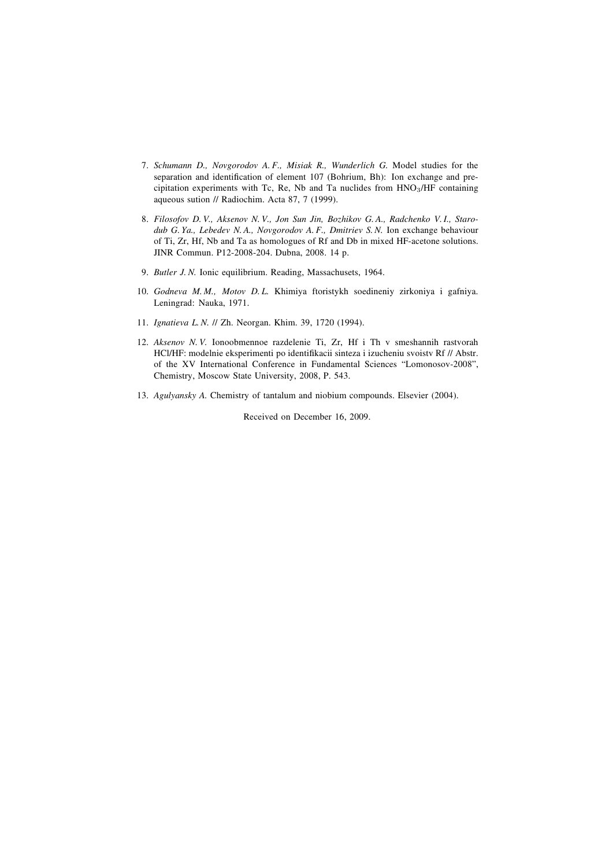- 7. *Schumann D., Novgorodov A. F., Misiak R., Wunderlich G.* Model studies for the separation and identification of element 107 (Bohrium, Bh): Ion exchange and precipitation experiments with Tc, Re, Nb and Ta nuclides from HNO3/HF containing aqueous sution // Radiochim. Acta 87, 7 (1999).
- 8. *Filosofov D. V., Aksenov N. V., Jon Sun Jin, Bozhikov G. A., Radchenko V. I., Starodub G. Ya., Lebedev N. A., Novgorodov A. F., Dmitriev S. N.* Ion exchange behaviour of Ti, Zr, Hf, Nb and Ta as homologues of Rf and Db in mixed HF-acetone solutions. JINR Commun. P12-2008-204. Dubna, 2008. 14 p.
- 9. *Butler J. N.* Ionic equilibrium. Reading, Massachusets, 1964.
- 10. *Godneva M. M., Motov D. L.* Khimiya ftoristykh soedineniy zirkoniya i gafniya. Leningrad: Nauka, 1971.
- 11. *Ignatieva L. N.* // Zh. Neorgan. Khim. 39, 1720 (1994).
- 12. *Aksenov N. V.* Ionoobmennoe razdelenie Ti, Zr, Hf i Th v smeshannih rastvorah HCl/HF: modelnie eksperimenti po identifikacii sinteza i izucheniu svoistv Rf // Abstr. of the XV International Conference in Fundamental Sciences "Lomonosov-2008", Chemistry, Moscow State University, 2008, P. 543.
- 13. *Agulyansky A.* Chemistry of tantalum and niobium compounds. Elsevier (2004).

Received on December 16, 2009.